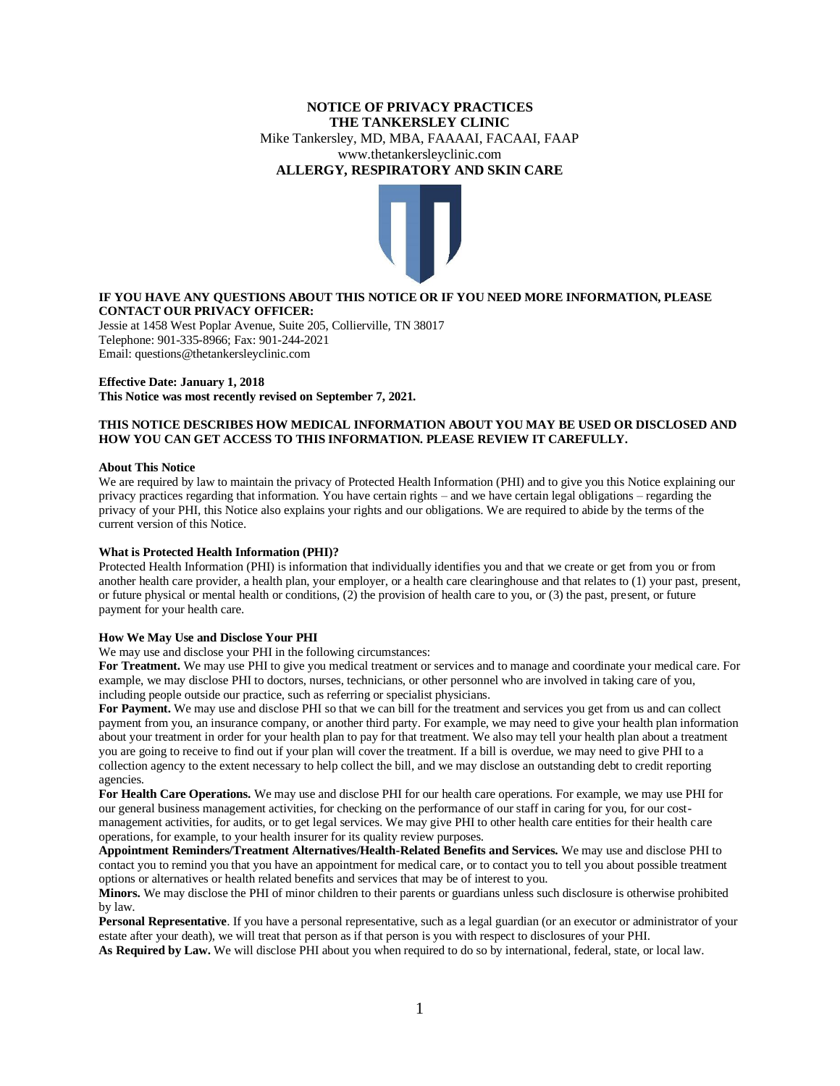# **NOTICE OF PRIVACY PRACTICES THE TANKERSLEY CLINIC**  Mike Tankersley, MD, MBA, FAAAAI, FACAAI, FAAP www.thetankersleyclinic.com **ALLERGY, RESPIRATORY AND SKIN CARE**



## **IF YOU HAVE ANY QUESTIONS ABOUT THIS NOTICE OR IF YOU NEED MORE INFORMATION, PLEASE CONTACT OUR PRIVACY OFFICER:**

Jessie at 1458 West Poplar Avenue, Suite 205, Collierville, TN 38017 Telephone: 901-335-8966; Fax: 901-244-2021 Email: questions@thetankersleyclinic.com

# **Effective Date: January 1, 2018**

**This Notice was most recently revised on September 7, 2021.**

## **THIS NOTICE DESCRIBES HOW MEDICAL INFORMATION ABOUT YOU MAY BE USED OR DISCLOSED AND HOW YOU CAN GET ACCESS TO THIS INFORMATION. PLEASE REVIEW IT CAREFULLY.**

## **About This Notice**

We are required by law to maintain the privacy of Protected Health Information (PHI) and to give you this Notice explaining our privacy practices regarding that information. You have certain rights – and we have certain legal obligations – regarding the privacy of your PHI, this Notice also explains your rights and our obligations. We are required to abide by the terms of the current version of this Notice.

## **What is Protected Health Information (PHI)?**

Protected Health Information (PHI) is information that individually identifies you and that we create or get from you or from another health care provider, a health plan, your employer, or a health care clearinghouse and that relates to (1) your past, present, or future physical or mental health or conditions, (2) the provision of health care to you, or (3) the past, present, or future payment for your health care.

## **How We May Use and Disclose Your PHI**

We may use and disclose your PHI in the following circumstances:

**For Treatment.** We may use PHI to give you medical treatment or services and to manage and coordinate your medical care. For example, we may disclose PHI to doctors, nurses, technicians, or other personnel who are involved in taking care of you, including people outside our practice, such as referring or specialist physicians.

**For Payment.** We may use and disclose PHI so that we can bill for the treatment and services you get from us and can collect payment from you, an insurance company, or another third party. For example, we may need to give your health plan information about your treatment in order for your health plan to pay for that treatment. We also may tell your health plan about a treatment you are going to receive to find out if your plan will cover the treatment. If a bill is overdue, we may need to give PHI to a collection agency to the extent necessary to help collect the bill, and we may disclose an outstanding debt to credit reporting agencies.

**For Health Care Operations.** We may use and disclose PHI for our health care operations. For example, we may use PHI for our general business management activities, for checking on the performance of our staff in caring for you, for our costmanagement activities, for audits, or to get legal services. We may give PHI to other health care entities for their health care operations, for example, to your health insurer for its quality review purposes.

**Appointment Reminders/Treatment Alternatives/Health-Related Benefits and Services.** We may use and disclose PHI to contact you to remind you that you have an appointment for medical care, or to contact you to tell you about possible treatment options or alternatives or health related benefits and services that may be of interest to you.

**Minors.** We may disclose the PHI of minor children to their parents or guardians unless such disclosure is otherwise prohibited by law.

**Personal Representative**. If you have a personal representative, such as a legal guardian (or an executor or administrator of your estate after your death), we will treat that person as if that person is you with respect to disclosures of your PHI. **As Required by Law.** We will disclose PHI about you when required to do so by international, federal, state, or local law.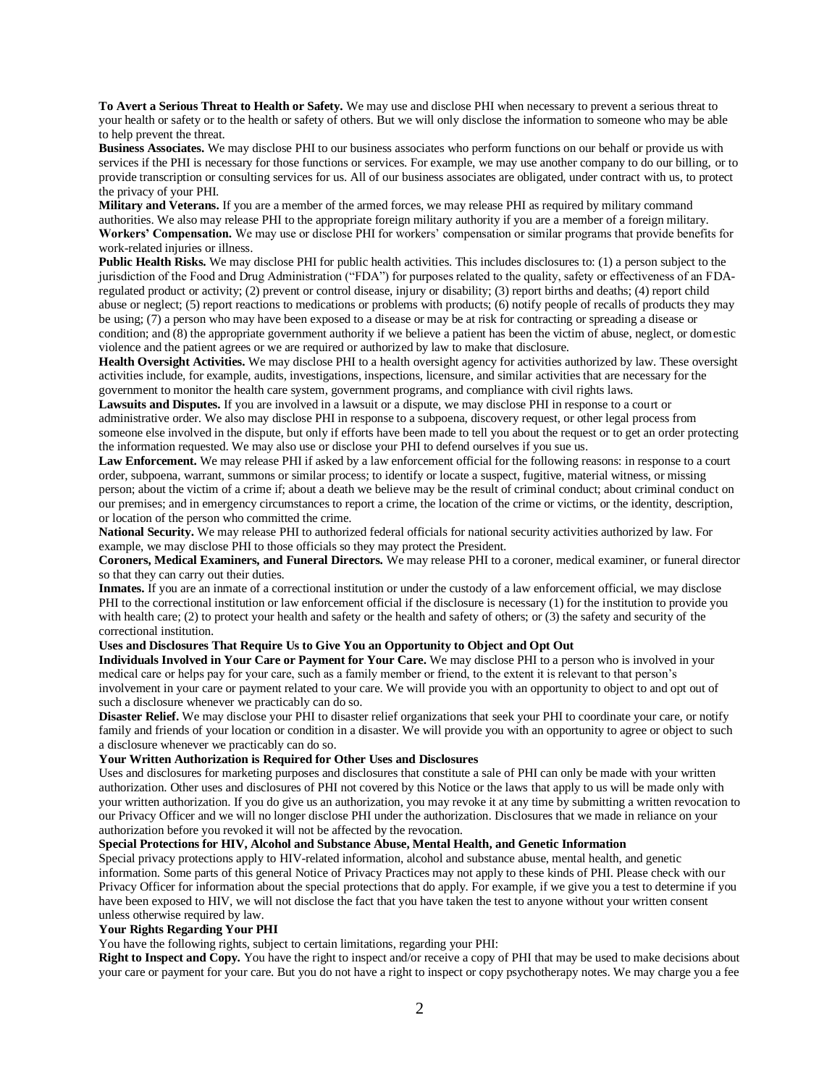**To Avert a Serious Threat to Health or Safety.** We may use and disclose PHI when necessary to prevent a serious threat to your health or safety or to the health or safety of others. But we will only disclose the information to someone who may be able to help prevent the threat.

**Business Associates.** We may disclose PHI to our business associates who perform functions on our behalf or provide us with services if the PHI is necessary for those functions or services. For example, we may use another company to do our billing, or to provide transcription or consulting services for us. All of our business associates are obligated, under contract with us, to protect the privacy of your PHI.

**Military and Veterans.** If you are a member of the armed forces, we may release PHI as required by military command authorities. We also may release PHI to the appropriate foreign military authority if you are a member of a foreign military. **Workers' Compensation.** We may use or disclose PHI for workers' compensation or similar programs that provide benefits for work-related injuries or illness.

**Public Health Risks.** We may disclose PHI for public health activities. This includes disclosures to: (1) a person subject to the jurisdiction of the Food and Drug Administration ("FDA") for purposes related to the quality, safety or effectiveness of an FDAregulated product or activity; (2) prevent or control disease, injury or disability; (3) report births and deaths; (4) report child abuse or neglect; (5) report reactions to medications or problems with products; (6) notify people of recalls of products they may be using; (7) a person who may have been exposed to a disease or may be at risk for contracting or spreading a disease or condition; and (8) the appropriate government authority if we believe a patient has been the victim of abuse, neglect, or domestic violence and the patient agrees or we are required or authorized by law to make that disclosure.

**Health Oversight Activities.** We may disclose PHI to a health oversight agency for activities authorized by law. These oversight activities include, for example, audits, investigations, inspections, licensure, and similar activities that are necessary for the government to monitor the health care system, government programs, and compliance with civil rights laws.

**Lawsuits and Disputes.** If you are involved in a lawsuit or a dispute, we may disclose PHI in response to a court or administrative order. We also may disclose PHI in response to a subpoena, discovery request, or other legal process from someone else involved in the dispute, but only if efforts have been made to tell you about the request or to get an order protecting the information requested. We may also use or disclose your PHI to defend ourselves if you sue us.

**Law Enforcement.** We may release PHI if asked by a law enforcement official for the following reasons: in response to a court order, subpoena, warrant, summons or similar process; to identify or locate a suspect, fugitive, material witness, or missing person; about the victim of a crime if; about a death we believe may be the result of criminal conduct; about criminal conduct on our premises; and in emergency circumstances to report a crime, the location of the crime or victims, or the identity, description, or location of the person who committed the crime.

**National Security.** We may release PHI to authorized federal officials for national security activities authorized by law. For example, we may disclose PHI to those officials so they may protect the President.

**Coroners, Medical Examiners, and Funeral Directors.** We may release PHI to a coroner, medical examiner, or funeral director so that they can carry out their duties.

**Inmates.** If you are an inmate of a correctional institution or under the custody of a law enforcement official, we may disclose PHI to the correctional institution or law enforcement official if the disclosure is necessary (1) for the institution to provide you with health care; (2) to protect your health and safety or the health and safety of others; or (3) the safety and security of the correctional institution.

### **Uses and Disclosures That Require Us to Give You an Opportunity to Object and Opt Out**

**Individuals Involved in Your Care or Payment for Your Care.** We may disclose PHI to a person who is involved in your medical care or helps pay for your care, such as a family member or friend, to the extent it is relevant to that person's involvement in your care or payment related to your care. We will provide you with an opportunity to object to and opt out of such a disclosure whenever we practicably can do so.

**Disaster Relief.** We may disclose your PHI to disaster relief organizations that seek your PHI to coordinate your care, or notify family and friends of your location or condition in a disaster. We will provide you with an opportunity to agree or object to such a disclosure whenever we practicably can do so.

#### **Your Written Authorization is Required for Other Uses and Disclosures**

Uses and disclosures for marketing purposes and disclosures that constitute a sale of PHI can only be made with your written authorization. Other uses and disclosures of PHI not covered by this Notice or the laws that apply to us will be made only with your written authorization. If you do give us an authorization, you may revoke it at any time by submitting a written revocation to our Privacy Officer and we will no longer disclose PHI under the authorization. Disclosures that we made in reliance on your authorization before you revoked it will not be affected by the revocation.

## **Special Protections for HIV, Alcohol and Substance Abuse, Mental Health, and Genetic Information**

Special privacy protections apply to HIV-related information, alcohol and substance abuse, mental health, and genetic information. Some parts of this general Notice of Privacy Practices may not apply to these kinds of PHI. Please check with our Privacy Officer for information about the special protections that do apply. For example, if we give you a test to determine if you have been exposed to HIV, we will not disclose the fact that you have taken the test to anyone without your written consent unless otherwise required by law.

#### **Your Rights Regarding Your PHI**

You have the following rights, subject to certain limitations, regarding your PHI:

**Right to Inspect and Copy.** You have the right to inspect and/or receive a copy of PHI that may be used to make decisions about your care or payment for your care. But you do not have a right to inspect or copy psychotherapy notes. We may charge you a fee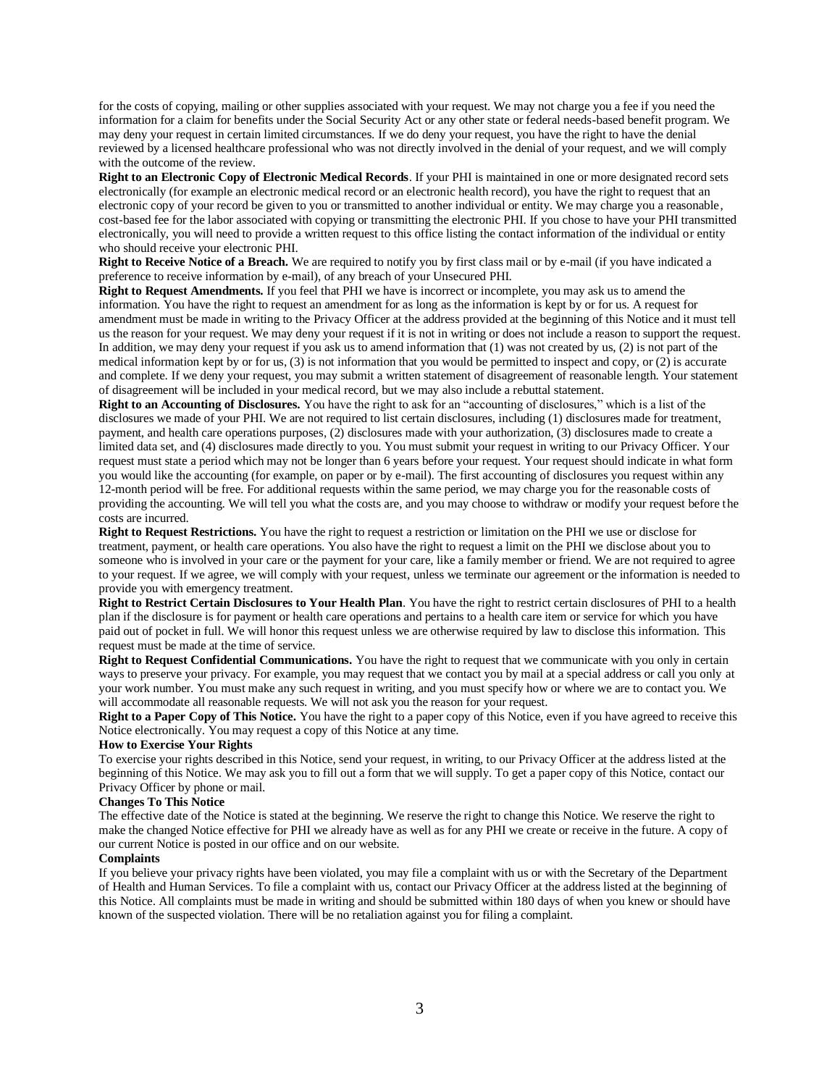for the costs of copying, mailing or other supplies associated with your request. We may not charge you a fee if you need the information for a claim for benefits under the Social Security Act or any other state or federal needs-based benefit program. We may deny your request in certain limited circumstances. If we do deny your request, you have the right to have the denial reviewed by a licensed healthcare professional who was not directly involved in the denial of your request, and we will comply with the outcome of the review.

**Right to an Electronic Copy of Electronic Medical Records**. If your PHI is maintained in one or more designated record sets electronically (for example an electronic medical record or an electronic health record), you have the right to request that an electronic copy of your record be given to you or transmitted to another individual or entity. We may charge you a reasonable, cost-based fee for the labor associated with copying or transmitting the electronic PHI. If you chose to have your PHI transmitted electronically, you will need to provide a written request to this office listing the contact information of the individual or entity who should receive your electronic PHI.

**Right to Receive Notice of a Breach.** We are required to notify you by first class mail or by e-mail (if you have indicated a preference to receive information by e-mail), of any breach of your Unsecured PHI.

**Right to Request Amendments.** If you feel that PHI we have is incorrect or incomplete, you may ask us to amend the information. You have the right to request an amendment for as long as the information is kept by or for us. A request for amendment must be made in writing to the Privacy Officer at the address provided at the beginning of this Notice and it must tell us the reason for your request. We may deny your request if it is not in writing or does not include a reason to support the request. In addition, we may deny your request if you ask us to amend information that  $(1)$  was not created by us,  $(2)$  is not part of the medical information kept by or for us, (3) is not information that you would be permitted to inspect and copy, or (2) is accurate and complete. If we deny your request, you may submit a written statement of disagreement of reasonable length. Your statement of disagreement will be included in your medical record, but we may also include a rebuttal statement.

**Right to an Accounting of Disclosures.** You have the right to ask for an "accounting of disclosures," which is a list of the disclosures we made of your PHI. We are not required to list certain disclosures, including (1) disclosures made for treatment, payment, and health care operations purposes, (2) disclosures made with your authorization, (3) disclosures made to create a limited data set, and (4) disclosures made directly to you. You must submit your request in writing to our Privacy Officer. Your request must state a period which may not be longer than 6 years before your request. Your request should indicate in what form you would like the accounting (for example, on paper or by e-mail). The first accounting of disclosures you request within any 12-month period will be free. For additional requests within the same period, we may charge you for the reasonable costs of providing the accounting. We will tell you what the costs are, and you may choose to withdraw or modify your request before the costs are incurred.

**Right to Request Restrictions.** You have the right to request a restriction or limitation on the PHI we use or disclose for treatment, payment, or health care operations. You also have the right to request a limit on the PHI we disclose about you to someone who is involved in your care or the payment for your care, like a family member or friend. We are not required to agree to your request. If we agree, we will comply with your request, unless we terminate our agreement or the information is needed to provide you with emergency treatment.

**Right to Restrict Certain Disclosures to Your Health Plan**. You have the right to restrict certain disclosures of PHI to a health plan if the disclosure is for payment or health care operations and pertains to a health care item or service for which you have paid out of pocket in full. We will honor this request unless we are otherwise required by law to disclose this information. This request must be made at the time of service.

**Right to Request Confidential Communications.** You have the right to request that we communicate with you only in certain ways to preserve your privacy. For example, you may request that we contact you by mail at a special address or call you only at your work number. You must make any such request in writing, and you must specify how or where we are to contact you. We will accommodate all reasonable requests. We will not ask you the reason for your request.

**Right to a Paper Copy of This Notice.** You have the right to a paper copy of this Notice, even if you have agreed to receive this Notice electronically. You may request a copy of this Notice at any time.

### **How to Exercise Your Rights**

To exercise your rights described in this Notice, send your request, in writing, to our Privacy Officer at the address listed at the beginning of this Notice. We may ask you to fill out a form that we will supply. To get a paper copy of this Notice, contact our Privacy Officer by phone or mail.

#### **Changes To This Notice**

The effective date of the Notice is stated at the beginning. We reserve the right to change this Notice. We reserve the right to make the changed Notice effective for PHI we already have as well as for any PHI we create or receive in the future. A copy of our current Notice is posted in our office and on our website.

## **Complaints**

If you believe your privacy rights have been violated, you may file a complaint with us or with the Secretary of the Department of Health and Human Services. To file a complaint with us, contact our Privacy Officer at the address listed at the beginning of this Notice. All complaints must be made in writing and should be submitted within 180 days of when you knew or should have known of the suspected violation. There will be no retaliation against you for filing a complaint.